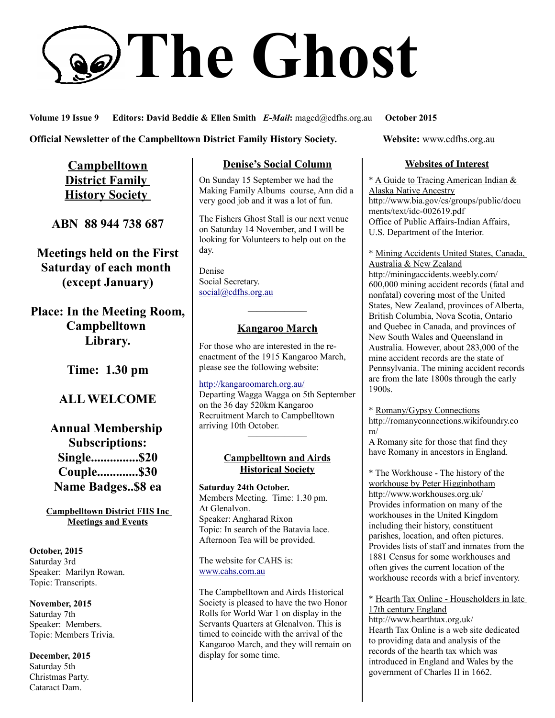# **The Ghost**

**Volume 19 Issue 9 Editors: David Beddie & Ellen Smith** *E-Mail***:** maged@cdfhs.org.au **October 2015**

**Official Newsletter of the Campbelltown District Family History Society. Website: www.cdfhs.org.au** 

**Campbelltown District Family History Society** 

**ABN 88 944 738 687**

**Meetings held on the First Saturday of each month (except January)**

**Place: In the Meeting Room, Campbelltown Library.**

**Time: 1.30 pm**

# **ALL WELCOME**

**Annual Membership Subscriptions: Single...............\$20 Couple.............\$30 Name Badges..\$8 ea**

**Campbelltown District FHS Inc Meetings and Events**

**October, 2015** Saturday 3rd Speaker: Marilyn Rowan. Topic: Transcripts.

**November, 2015** Saturday 7th Speaker: Members. Topic: Members Trivia.

**December, 2015** Saturday 5th Christmas Party. Cataract Dam.

# **Denise's Social Column**

On Sunday 15 September we had the Making Family Albums course, Ann did a very good job and it was a lot of fun.

The Fishers Ghost Stall is our next venue on Saturday 14 November, and I will be looking for Volunteers to help out on the day.

Denise Social Secretary. [social@cdfhs.org.au](mailto:social@cdfhs.org.au)

# ——————– **Kangaroo March**

For those who are interested in the reenactment of the 1915 Kangaroo March, please see the following website:

<http://kangaroomarch.org.au/> Departing Wagga Wagga on 5th September on the 36 day 520km Kangaroo Recruitment March to Campbelltown arriving 10th October. ——————–

### **Campbelltown and Airds Historical Society**

**Saturday 24th October.** Members Meeting. Time: 1.30 pm. At Glenalvon. Speaker: Angharad Rixon Topic: In search of the Batavia lace. Afternoon Tea will be provided.

The website for CAHS is: [www.cahs.com.au](http://www.cahs.com.au/)

The Campbelltown and Airds Historical Society is pleased to have the two Honor Rolls for World War 1 on display in the Servants Quarters at Glenalvon. This is timed to coincide with the arrival of the Kangaroo March, and they will remain on display for some time.

### **Websites of Interest**

\* A Guide to Tracing American Indian & Alaska Native Ancestry http://www.bia.gov/cs/groups/public/docu ments/text/idc-002619.pdf Office of Public Affairs-Indian Affairs, U.S. Department of the Interior.

\* Mining Accidents United States, Canada, Australia & New Zealand http://miningaccidents.weebly.com/ 600,000 mining accident records (fatal and nonfatal) covering most of the United States, New Zealand, provinces of Alberta, British Columbia, Nova Scotia, Ontario and Quebec in Canada, and provinces of New South Wales and Queensland in Australia. However, about 283,000 of the mine accident records are the state of Pennsylvania. The mining accident records are from the late 1800s through the early 1900s.

\* Romany/Gypsy Connections http://romanyconnections.wikifoundry.co m/

A Romany site for those that find they have Romany in ancestors in England.

\* The Workhouse - The history of the workhouse by Peter Higginbotham http://www.workhouses.org.uk/ Provides information on many of the workhouses in the United Kingdom including their history, constituent parishes, location, and often pictures. Provides lists of staff and inmates from the 1881 Census for some workhouses and often gives the current location of the workhouse records with a brief inventory.

\* Hearth Tax Online - Householders in late 17th century England

http://www.hearthtax.org.uk/ Hearth Tax Online is a web site dedicated to providing data and analysis of the records of the hearth tax which was introduced in England and Wales by the government of Charles II in 1662.